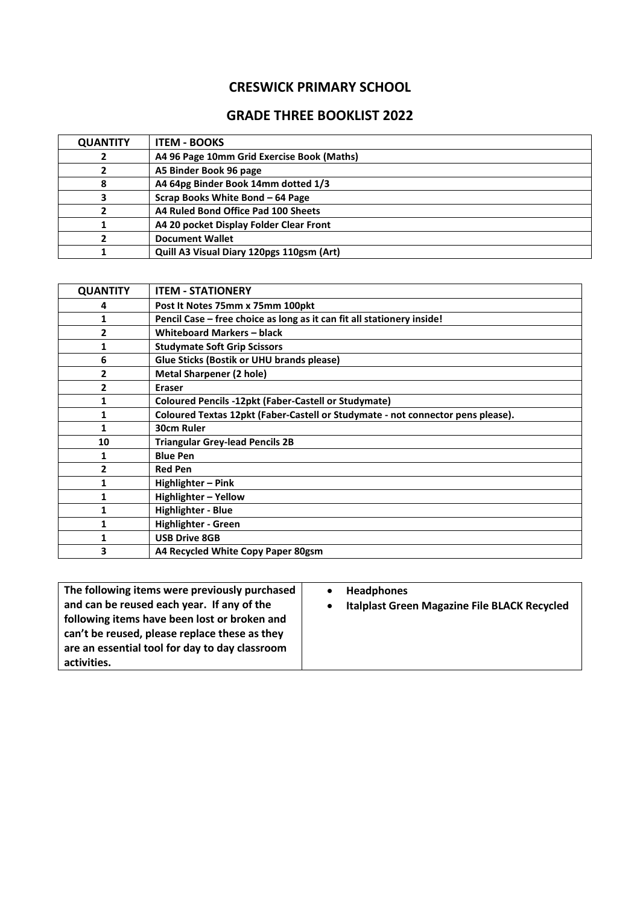## **CRESWICK PRIMARY SCHOOL**

## **GRADE THREE BOOKLIST 2022**

| <b>QUANTITY</b> | <b>ITEM - BOOKS</b>                        |  |
|-----------------|--------------------------------------------|--|
| ∠               | A4 96 Page 10mm Grid Exercise Book (Maths) |  |
|                 | A5 Binder Book 96 page                     |  |
| 8               | A4 64pg Binder Book 14mm dotted 1/3        |  |
|                 | Scrap Books White Bond - 64 Page           |  |
|                 | A4 Ruled Bond Office Pad 100 Sheets        |  |
|                 | A4 20 pocket Display Folder Clear Front    |  |
|                 | <b>Document Wallet</b>                     |  |
|                 | Quill A3 Visual Diary 120pgs 110gsm (Art)  |  |

| <b>QUANTITY</b> | <b>ITEM - STATIONERY</b>                                                        |  |
|-----------------|---------------------------------------------------------------------------------|--|
| 4               | Post It Notes 75mm x 75mm 100pkt                                                |  |
| 1               | Pencil Case - free choice as long as it can fit all stationery inside!          |  |
| 2               | <b>Whiteboard Markers - black</b>                                               |  |
| 1               | <b>Studymate Soft Grip Scissors</b>                                             |  |
| 6               | Glue Sticks (Bostik or UHU brands please)                                       |  |
| 2               | <b>Metal Sharpener (2 hole)</b>                                                 |  |
| 2               | <b>Eraser</b>                                                                   |  |
| 1               | <b>Coloured Pencils -12pkt (Faber-Castell or Studymate)</b>                     |  |
| 1               | Coloured Textas 12pkt (Faber-Castell or Studymate - not connector pens please). |  |
| 1               | 30cm Ruler                                                                      |  |
| 10              | <b>Triangular Grey-lead Pencils 2B</b>                                          |  |
| 1               | <b>Blue Pen</b>                                                                 |  |
| 2               | <b>Red Pen</b>                                                                  |  |
| 1               | Highlighter - Pink                                                              |  |
| 1               | Highlighter - Yellow                                                            |  |
| 1               | Highlighter - Blue                                                              |  |
| 1               | <b>Highlighter - Green</b>                                                      |  |
| 1               | <b>USB Drive 8GB</b>                                                            |  |
| 3               | A4 Recycled White Copy Paper 80gsm                                              |  |

| The following items were previously purchased<br>and can be reused each year. If any of the<br>following items have been lost or broken and<br>can't be reused, please replace these as they<br>are an essential tool for day to day classroom<br>activities. | <b>Headphones</b><br><b>Italplast Green Magazine File BLACK Recycled</b> |
|---------------------------------------------------------------------------------------------------------------------------------------------------------------------------------------------------------------------------------------------------------------|--------------------------------------------------------------------------|
|---------------------------------------------------------------------------------------------------------------------------------------------------------------------------------------------------------------------------------------------------------------|--------------------------------------------------------------------------|